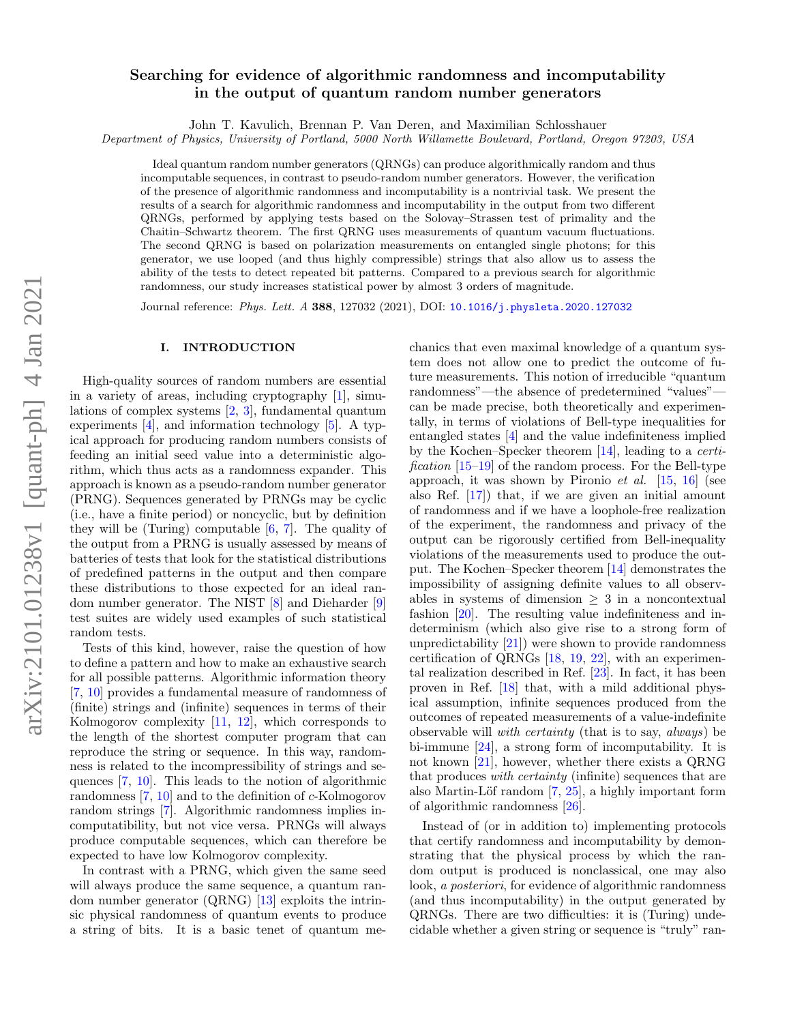# Searching for evidence of algorithmic randomness and incomputability in the output of quantum random number generators

John T. Kavulich, Brennan P. Van Deren, and Maximilian Schlosshauer

Department of Physics, University of Portland, 5000 North Willamette Boulevard, Portland, Oregon 97203, USA

Ideal quantum random number generators (QRNGs) can produce algorithmically random and thus incomputable sequences, in contrast to pseudo-random number generators. However, the verification of the presence of algorithmic randomness and incomputability is a nontrivial task. We present the results of a search for algorithmic randomness and incomputability in the output from two different QRNGs, performed by applying tests based on the Solovay–Strassen test of primality and the Chaitin–Schwartz theorem. The first QRNG uses measurements of quantum vacuum fluctuations. The second QRNG is based on polarization measurements on entangled single photons; for this generator, we use looped (and thus highly compressible) strings that also allow us to assess the ability of the tests to detect repeated bit patterns. Compared to a previous search for algorithmic randomness, our study increases statistical power by almost 3 orders of magnitude.

Journal reference: Phys. Lett. A 388, 127032 (2021), DOI: [10.1016/j.physleta.2020.127032](https://doi.org/10.1016/j.physleta.2020.127032)

### I. INTRODUCTION

High-quality sources of random numbers are essential in a variety of areas, including cryptography [\[1\]](#page-9-0), simulations of complex systems [\[2,](#page-9-1) [3\]](#page-9-2), fundamental quantum experiments  $[4]$ , and information technology  $[5]$ . A typical approach for producing random numbers consists of feeding an initial seed value into a deterministic algorithm, which thus acts as a randomness expander. This approach is known as a pseudo-random number generator (PRNG). Sequences generated by PRNGs may be cyclic (i.e., have a finite period) or noncyclic, but by definition they will be (Turing) computable [\[6,](#page-9-5) [7\]](#page-9-6). The quality of the output from a PRNG is usually assessed by means of batteries of tests that look for the statistical distributions of predefined patterns in the output and then compare these distributions to those expected for an ideal random number generator. The NIST [\[8\]](#page-9-7) and Dieharder [\[9\]](#page-9-8) test suites are widely used examples of such statistical random tests.

Tests of this kind, however, raise the question of how to define a pattern and how to make an exhaustive search for all possible patterns. Algorithmic information theory [\[7,](#page-9-6) [10\]](#page-9-9) provides a fundamental measure of randomness of (finite) strings and (infinite) sequences in terms of their Kolmogorov complexity [\[11,](#page-9-10) [12\]](#page-9-11), which corresponds to the length of the shortest computer program that can reproduce the string or sequence. In this way, randomness is related to the incompressibility of strings and sequences [\[7,](#page-9-6) [10\]](#page-9-9). This leads to the notion of algorithmic randomness [\[7,](#page-9-6) [10\]](#page-9-9) and to the definition of c-Kolmogorov random strings [\[7\]](#page-9-6). Algorithmic randomness implies incomputatibility, but not vice versa. PRNGs will always produce computable sequences, which can therefore be expected to have low Kolmogorov complexity.

In contrast with a PRNG, which given the same seed will always produce the same sequence, a quantum random number generator (QRNG) [\[13\]](#page-9-12) exploits the intrinsic physical randomness of quantum events to produce a string of bits. It is a basic tenet of quantum me-

chanics that even maximal knowledge of a quantum system does not allow one to predict the outcome of future measurements. This notion of irreducible "quantum randomness"—the absence of predetermined "values" can be made precise, both theoretically and experimentally, in terms of violations of Bell-type inequalities for entangled states [\[4\]](#page-9-3) and the value indefiniteness implied by the Kochen–Specker theorem [\[14\]](#page-9-13), leading to a certi*fication*  $[15-19]$  $[15-19]$  of the random process. For the Bell-type approach, it was shown by Pironio *et al.* [\[15,](#page-9-14) [16\]](#page-9-16) (see also Ref. [\[17\]](#page-9-17)) that, if we are given an initial amount of randomness and if we have a loophole-free realization of the experiment, the randomness and privacy of the output can be rigorously certified from Bell-inequality violations of the measurements used to produce the output. The Kochen–Specker theorem [\[14\]](#page-9-13) demonstrates the impossibility of assigning definite values to all observables in systems of dimension  $\geq 3$  in a noncontextual fashion [\[20\]](#page-9-18). The resulting value indefiniteness and indeterminism (which also give rise to a strong form of unpredictability  $[21]$  were shown to provide randomness certification of QRNGs [\[18,](#page-9-20) [19,](#page-9-15) [22\]](#page-9-21), with an experimental realization described in Ref. [\[23\]](#page-9-22). In fact, it has been proven in Ref. [\[18\]](#page-9-20) that, with a mild additional physical assumption, infinite sequences produced from the outcomes of repeated measurements of a value-indefinite observable will with certainty (that is to say, always) be bi-immune [\[24\]](#page-9-23), a strong form of incomputability. It is not known [\[21\]](#page-9-19), however, whether there exists a QRNG that produces with certainty (infinite) sequences that are also Martin-Löf random  $[7, 25]$  $[7, 25]$  $[7, 25]$ , a highly important form of algorithmic randomness [\[26\]](#page-9-25).

Instead of (or in addition to) implementing protocols that certify randomness and incomputability by demonstrating that the physical process by which the random output is produced is nonclassical, one may also look, a posteriori, for evidence of algorithmic randomness (and thus incomputability) in the output generated by QRNGs. There are two difficulties: it is (Turing) undecidable whether a given string or sequence is "truly" ran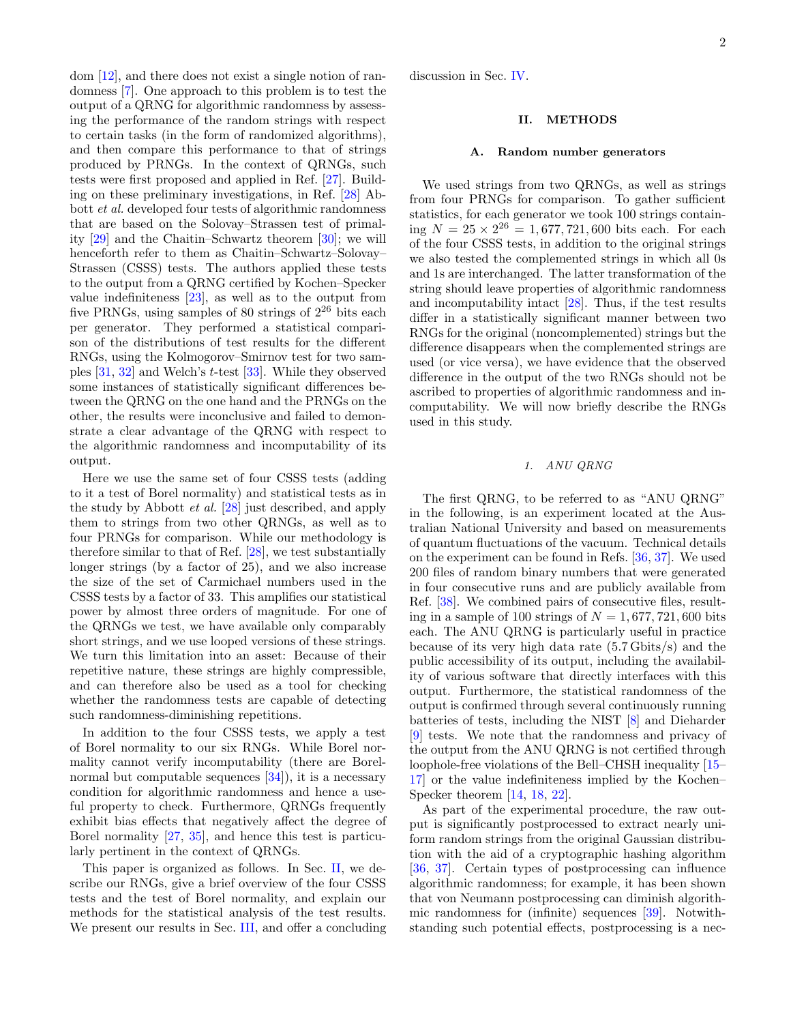dom [\[12\]](#page-9-11), and there does not exist a single notion of randomness [\[7\]](#page-9-6). One approach to this problem is to test the output of a QRNG for algorithmic randomness by assessing the performance of the random strings with respect to certain tasks (in the form of randomized algorithms), and then compare this performance to that of strings produced by PRNGs. In the context of QRNGs, such tests were first proposed and applied in Ref. [\[27\]](#page-9-26). Building on these preliminary investigations, in Ref. [\[28\]](#page-9-27) Abbott et al. developed four tests of algorithmic randomness that are based on the Solovay–Strassen test of primality [\[29\]](#page-9-28) and the Chaitin–Schwartz theorem [\[30\]](#page-9-29); we will henceforth refer to them as Chaitin–Schwartz–Solovay– Strassen (CSSS) tests. The authors applied these tests to the output from a QRNG certified by Kochen–Specker value indefiniteness [\[23\]](#page-9-22), as well as to the output from five PRNGs, using samples of 80 strings of  $2^{26}$  bits each per generator. They performed a statistical comparison of the distributions of test results for the different RNGs, using the Kolmogorov–Smirnov test for two samples [\[31,](#page-10-0) [32\]](#page-10-1) and Welch's t-test [\[33\]](#page-10-2). While they observed some instances of statistically significant differences between the QRNG on the one hand and the PRNGs on the other, the results were inconclusive and failed to demonstrate a clear advantage of the QRNG with respect to the algorithmic randomness and incomputability of its output.

Here we use the same set of four CSSS tests (adding to it a test of Borel normality) and statistical tests as in the study by Abbott et al. [\[28\]](#page-9-27) just described, and apply them to strings from two other QRNGs, as well as to four PRNGs for comparison. While our methodology is therefore similar to that of Ref. [\[28\]](#page-9-27), we test substantially longer strings (by a factor of 25), and we also increase the size of the set of Carmichael numbers used in the CSSS tests by a factor of 33. This amplifies our statistical power by almost three orders of magnitude. For one of the QRNGs we test, we have available only comparably short strings, and we use looped versions of these strings. We turn this limitation into an asset: Because of their repetitive nature, these strings are highly compressible, and can therefore also be used as a tool for checking whether the randomness tests are capable of detecting such randomness-diminishing repetitions.

In addition to the four CSSS tests, we apply a test of Borel normality to our six RNGs. While Borel normality cannot verify incomputability (there are Borelnormal but computable sequences  $[34]$ , it is a necessary condition for algorithmic randomness and hence a useful property to check. Furthermore, QRNGs frequently exhibit bias effects that negatively affect the degree of Borel normality [\[27,](#page-9-26) [35\]](#page-10-4), and hence this test is particularly pertinent in the context of QRNGs.

This paper is organized as follows. In Sec. [II,](#page-1-0) we describe our RNGs, give a brief overview of the four CSSS tests and the test of Borel normality, and explain our methods for the statistical analysis of the test results. We present our results in Sec. [III,](#page-5-0) and offer a concluding discussion in Sec. [IV.](#page-8-0)

### <span id="page-1-0"></span>II. METHODS

#### A. Random number generators

We used strings from two QRNGs, as well as strings from four PRNGs for comparison. To gather sufficient statistics, for each generator we took 100 strings contain- $\lim_{n \to \infty} N = 25 \times 2^{26} = 1,677,721,600$  bits each. For each of the four CSSS tests, in addition to the original strings we also tested the complemented strings in which all 0s and 1s are interchanged. The latter transformation of the string should leave properties of algorithmic randomness and incomputability intact [\[28\]](#page-9-27). Thus, if the test results differ in a statistically significant manner between two RNGs for the original (noncomplemented) strings but the difference disappears when the complemented strings are used (or vice versa), we have evidence that the observed difference in the output of the two RNGs should not be ascribed to properties of algorithmic randomness and incomputability. We will now briefly describe the RNGs used in this study.

# 1. ANU QRNG

The first QRNG, to be referred to as "ANU QRNG" in the following, is an experiment located at the Australian National University and based on measurements of quantum fluctuations of the vacuum. Technical details on the experiment can be found in Refs. [\[36,](#page-10-5) [37\]](#page-10-6). We used 200 files of random binary numbers that were generated in four consecutive runs and are publicly available from Ref. [\[38\]](#page-10-7). We combined pairs of consecutive files, resulting in a sample of 100 strings of  $N = 1,677,721,600$  bits each. The ANU QRNG is particularly useful in practice because of its very high data rate (5.7 Gbits/s) and the public accessibility of its output, including the availability of various software that directly interfaces with this output. Furthermore, the statistical randomness of the output is confirmed through several continuously running batteries of tests, including the NIST [\[8\]](#page-9-7) and Dieharder [\[9\]](#page-9-8) tests. We note that the randomness and privacy of the output from the ANU QRNG is not certified through loophole-free violations of the Bell–CHSH inequality [\[15–](#page-9-14) [17\]](#page-9-17) or the value indefiniteness implied by the Kochen– Specker theorem [\[14,](#page-9-13) [18,](#page-9-20) [22\]](#page-9-21).

As part of the experimental procedure, the raw output is significantly postprocessed to extract nearly uniform random strings from the original Gaussian distribution with the aid of a cryptographic hashing algorithm [\[36,](#page-10-5) [37\]](#page-10-6). Certain types of postprocessing can influence algorithmic randomness; for example, it has been shown that von Neumann postprocessing can diminish algorithmic randomness for (infinite) sequences [\[39\]](#page-10-8). Notwithstanding such potential effects, postprocessing is a nec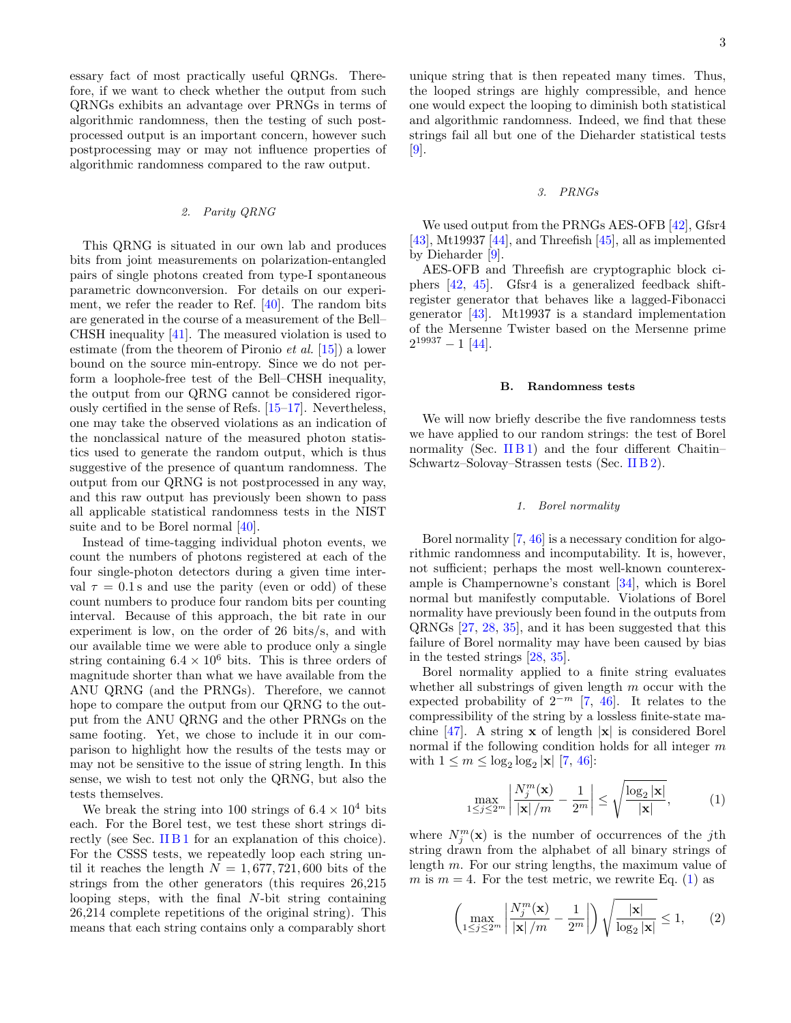essary fact of most practically useful QRNGs. Therefore, if we want to check whether the output from such QRNGs exhibits an advantage over PRNGs in terms of algorithmic randomness, then the testing of such postprocessed output is an important concern, however such postprocessing may or may not influence properties of algorithmic randomness compared to the raw output.

# <span id="page-2-2"></span>2. Parity QRNG

This QRNG is situated in our own lab and produces bits from joint measurements on polarization-entangled pairs of single photons created from type-I spontaneous parametric downconversion. For details on our experiment, we refer the reader to Ref. [\[40\]](#page-10-9). The random bits are generated in the course of a measurement of the Bell– CHSH inequality [\[41\]](#page-10-10). The measured violation is used to estimate (from the theorem of Pironio et al. [\[15\]](#page-9-14)) a lower bound on the source min-entropy. Since we do not perform a loophole-free test of the Bell–CHSH inequality, the output from our QRNG cannot be considered rigorously certified in the sense of Refs. [\[15](#page-9-14)[–17\]](#page-9-17). Nevertheless, one may take the observed violations as an indication of the nonclassical nature of the measured photon statistics used to generate the random output, which is thus suggestive of the presence of quantum randomness. The output from our QRNG is not postprocessed in any way, and this raw output has previously been shown to pass all applicable statistical randomness tests in the NIST suite and to be Borel normal [\[40\]](#page-10-9).

Instead of time-tagging individual photon events, we count the numbers of photons registered at each of the four single-photon detectors during a given time interval  $\tau = 0.1$  s and use the parity (even or odd) of these count numbers to produce four random bits per counting interval. Because of this approach, the bit rate in our experiment is low, on the order of 26 bits/s, and with our available time we were able to produce only a single string containing  $6.4 \times 10^6$  bits. This is three orders of magnitude shorter than what we have available from the ANU QRNG (and the PRNGs). Therefore, we cannot hope to compare the output from our QRNG to the output from the ANU QRNG and the other PRNGs on the same footing. Yet, we chose to include it in our comparison to highlight how the results of the tests may or may not be sensitive to the issue of string length. In this sense, we wish to test not only the QRNG, but also the tests themselves.

We break the string into 100 strings of  $6.4 \times 10^4$  bits each. For the Borel test, we test these short strings directly (see Sec. IIB1 for an explanation of this choice). For the CSSS tests, we repeatedly loop each string until it reaches the length  $N = 1,677,721,600$  bits of the strings from the other generators (this requires 26,215 looping steps, with the final N-bit string containing 26,214 complete repetitions of the original string). This means that each string contains only a comparably short

unique string that is then repeated many times. Thus, the looped strings are highly compressible, and hence one would expect the looping to diminish both statistical and algorithmic randomness. Indeed, we find that these strings fail all but one of the Dieharder statistical tests [\[9\]](#page-9-8).

#### 3. PRNGs

We used output from the PRNGs AES-OFB [\[42\]](#page-10-11), Gfsr4  $[43]$ , Mt19937  $[44]$ , and Threefish  $[45]$ , all as implemented by Dieharder [\[9\]](#page-9-8).

AES-OFB and Threefish are cryptographic block ciphers [\[42,](#page-10-11) [45\]](#page-10-14). Gfsr4 is a generalized feedback shiftregister generator that behaves like a lagged-Fibonacci generator [\[43\]](#page-10-12). Mt19937 is a standard implementation of the Mersenne Twister based on the Mersenne prime  $2^{19937} - 1$  [\[44\]](#page-10-13).

#### B. Randomness tests

We will now briefly describe the five randomness tests we have applied to our random strings: the test of Borel normality (Sec. [II B 1\)](#page-2-0) and the four different Chaitin– Schwartz–Solovay–Strassen tests (Sec. [II B 2\)](#page-3-0).

# <span id="page-2-0"></span>1. Borel normality

Borel normality [\[7,](#page-9-6) [46\]](#page-10-15) is a necessary condition for algorithmic randomness and incomputability. It is, however, not sufficient; perhaps the most well-known counterexample is Champernowne's constant [\[34\]](#page-10-3), which is Borel normal but manifestly computable. Violations of Borel normality have previously been found in the outputs from QRNGs [\[27,](#page-9-26) [28,](#page-9-27) [35\]](#page-10-4), and it has been suggested that this failure of Borel normality may have been caused by bias in the tested strings [\[28,](#page-9-27) [35\]](#page-10-4).

Borel normality applied to a finite string evaluates whether all substrings of given length  $m$  occur with the expected probability of  $2^{-m}$  [\[7,](#page-9-6) [46\]](#page-10-15). It relates to the compressibility of the string by a lossless finite-state ma-chine [\[47\]](#page-10-16). A string  $x$  of length  $|x|$  is considered Borel normal if the following condition holds for all integer  $m$ with  $1 \le m \le \log_2 \log_2 |\mathbf{x}|$  [\[7,](#page-9-6) [46\]](#page-10-15):

<span id="page-2-1"></span>
$$
\max_{1 \le j \le 2^m} \left| \frac{N_j^m(\mathbf{x})}{|\mathbf{x}|/m} - \frac{1}{2^m} \right| \le \sqrt{\frac{\log_2 |\mathbf{x}|}{|\mathbf{x}|}},\tag{1}
$$

where  $N_j^m(\mathbf{x})$  is the number of occurrences of the jth string drawn from the alphabet of all binary strings of length m. For our string lengths, the maximum value of m is  $m = 4$ . For the test metric, we rewrite Eq. [\(1\)](#page-2-1) as

$$
\left(\max_{1\leq j\leq 2^m} \left|\frac{N_j^m(\mathbf{x})}{|\mathbf{x}|/m} - \frac{1}{2^m}\right|\right) \sqrt{\frac{|\mathbf{x}|}{\log_2 |\mathbf{x}|}} \leq 1, \qquad (2)
$$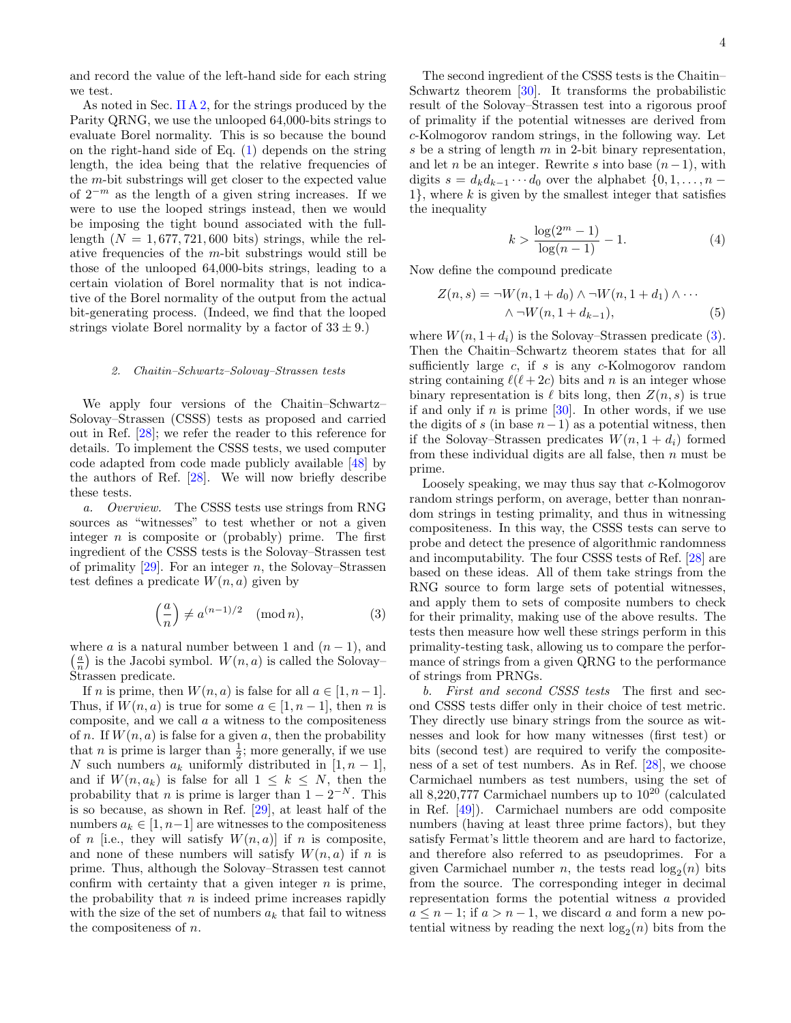and record the value of the left-hand side for each string we test.

As noted in Sec. II  $A_2$ , for the strings produced by the Parity QRNG, we use the unlooped 64,000-bits strings to evaluate Borel normality. This is so because the bound on the right-hand side of Eq.  $(1)$  depends on the string length, the idea being that the relative frequencies of the m-bit substrings will get closer to the expected value of  $2^{-m}$  as the length of a given string increases. If we were to use the looped strings instead, then we would be imposing the tight bound associated with the fulllength  $(N = 1,677,721,600$  bits) strings, while the relative frequencies of the  $m$ -bit substrings would still be those of the unlooped 64,000-bits strings, leading to a certain violation of Borel normality that is not indicative of the Borel normality of the output from the actual bit-generating process. (Indeed, we find that the looped strings violate Borel normality by a factor of  $33 \pm 9$ .)

### <span id="page-3-0"></span>2. Chaitin–Schwartz–Solovay–Strassen tests

We apply four versions of the Chaitin–Schwartz– Solovay–Strassen (CSSS) tests as proposed and carried out in Ref. [\[28\]](#page-9-27); we refer the reader to this reference for details. To implement the CSSS tests, we used computer code adapted from code made publicly available [\[48\]](#page-10-17) by the authors of Ref. [\[28\]](#page-9-27). We will now briefly describe these tests.

a. Overview. The CSSS tests use strings from RNG sources as "witnesses" to test whether or not a given integer  $n$  is composite or (probably) prime. The first ingredient of the CSSS tests is the Solovay–Strassen test of primality  $[29]$ . For an integer n, the Solovay–Strassen test defines a predicate  $W(n, a)$  given by

<span id="page-3-1"></span>
$$
\left(\frac{a}{n}\right) \neq a^{(n-1)/2} \pmod{n},\tag{3}
$$

where a is a natural number between 1 and  $(n-1)$ , and  $\left(\frac{a}{n}\right)$  is the Jacobi symbol.  $W(n, a)$  is called the Solovay– Strassen predicate.

If n is prime, then  $W(n, a)$  is false for all  $a \in [1, n-1]$ . Thus, if  $W(n, a)$  is true for some  $a \in [1, n-1]$ , then n is composite, and we call  $a$  a witness to the compositeness of n. If  $W(n, a)$  is false for a given a, then the probability that *n* is prime is larger than  $\frac{1}{2}$ ; more generally, if we use N such numbers  $a_k$  uniformly distributed in  $[1, n-1]$ , and if  $W(n, a_k)$  is false for all  $1 \leq k \leq N$ , then the probability that *n* is prime is larger than  $1 - 2^{-N}$ . This is so because, as shown in Ref. [\[29\]](#page-9-28), at least half of the numbers  $a_k \in [1, n-1]$  are witnesses to the compositeness of n [i.e., they will satisfy  $W(n, a)$ ] if n is composite, and none of these numbers will satisfy  $W(n, a)$  if n is prime. Thus, although the Solovay–Strassen test cannot confirm with certainty that a given integer  $n$  is prime, the probability that  $n$  is indeed prime increases rapidly with the size of the set of numbers  $a_k$  that fail to witness the compositeness of n.

The second ingredient of the CSSS tests is the Chaitin– Schwartz theorem [\[30\]](#page-9-29). It transforms the probabilistic result of the Solovay–Strassen test into a rigorous proof of primality if the potential witnesses are derived from c-Kolmogorov random strings, in the following way. Let s be a string of length  $m$  in 2-bit binary representation, and let *n* be an integer. Rewrite s into base  $(n-1)$ , with digits  $s = d_k d_{k-1} \cdots d_0$  over the alphabet  $\{0, 1, \ldots, n 1$ , where k is given by the smallest integer that satisfies the inequality

<span id="page-3-3"></span><span id="page-3-2"></span>
$$
k > \frac{\log(2^m - 1)}{\log(n - 1)} - 1.
$$
 (4)

Now define the compound predicate

$$
Z(n,s) = \neg W(n, 1+d_0) \land \neg W(n, 1+d_1) \land \cdots
$$

$$
\land \neg W(n, 1+d_{k-1}), \qquad (5)
$$

where  $W(n, 1+d_i)$  is the Solovay–Strassen predicate [\(3\)](#page-3-1). Then the Chaitin–Schwartz theorem states that for all sufficiently large  $c$ , if  $s$  is any  $c$ -Kolmogorov random string containing  $\ell(\ell + 2c)$  bits and n is an integer whose binary representation is  $\ell$  bits long, then  $Z(n, s)$  is true if and only if n is prime  $[30]$ . In other words, if we use the digits of s (in base  $n-1$ ) as a potential witness, then if the Solovay–Strassen predicates  $W(n, 1 + d_i)$  formed from these individual digits are all false, then  $n$  must be prime.

Loosely speaking, we may thus say that c-Kolmogorov random strings perform, on average, better than nonrandom strings in testing primality, and thus in witnessing compositeness. In this way, the CSSS tests can serve to probe and detect the presence of algorithmic randomness and incomputability. The four CSSS tests of Ref. [\[28\]](#page-9-27) are based on these ideas. All of them take strings from the RNG source to form large sets of potential witnesses, and apply them to sets of composite numbers to check for their primality, making use of the above results. The tests then measure how well these strings perform in this primality-testing task, allowing us to compare the performance of strings from a given QRNG to the performance of strings from PRNGs.

b. First and second CSSS tests The first and second CSSS tests differ only in their choice of test metric. They directly use binary strings from the source as witnesses and look for how many witnesses (first test) or bits (second test) are required to verify the compositeness of a set of test numbers. As in Ref. [\[28\]](#page-9-27), we choose Carmichael numbers as test numbers, using the set of all 8,220,777 Carmichael numbers up to  $10^{20}$  (calculated in Ref. [\[49\]](#page-10-18)). Carmichael numbers are odd composite numbers (having at least three prime factors), but they satisfy Fermat's little theorem and are hard to factorize, and therefore also referred to as pseudoprimes. For a given Carmichael number *n*, the tests read  $log_2(n)$  bits from the source. The corresponding integer in decimal representation forms the potential witness a provided  $a \leq n-1$ ; if  $a > n-1$ , we discard a and form a new potential witness by reading the next  $log_2(n)$  bits from the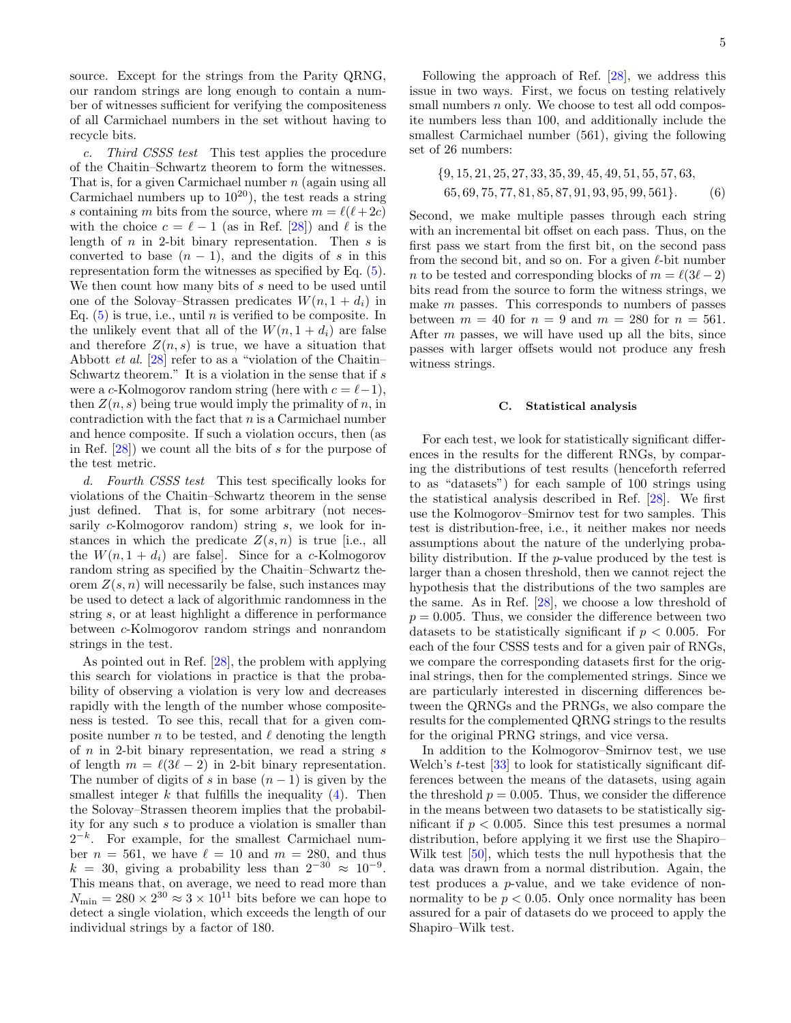source. Except for the strings from the Parity QRNG, our random strings are long enough to contain a number of witnesses sufficient for verifying the compositeness of all Carmichael numbers in the set without having to recycle bits.

c. Third CSSS test This test applies the procedure of the Chaitin–Schwartz theorem to form the witnesses. That is, for a given Carmichael number n (again using all Carmichael numbers up to  $10^{20}$ ), the test reads a string s containing m bits from the source, where  $m = \ell(\ell + 2c)$ with the choice  $c = \ell - 1$  (as in Ref. [\[28\]](#page-9-27)) and  $\ell$  is the length of  $n$  in 2-bit binary representation. Then  $s$  is converted to base  $(n - 1)$ , and the digits of s in this representation form the witnesses as specified by Eq. [\(5\)](#page-3-2). We then count how many bits of s need to be used until one of the Solovay–Strassen predicates  $W(n, 1 + d_i)$  in Eq.  $(5)$  is true, i.e., until *n* is verified to be composite. In the unlikely event that all of the  $W(n, 1 + d_i)$  are false and therefore  $Z(n, s)$  is true, we have a situation that Abbott et al. [\[28\]](#page-9-27) refer to as a "violation of the Chaitin– Schwartz theorem." It is a violation in the sense that if  $s$ were a c-Kolmogorov random string (here with  $c = \ell - 1$ ), then  $Z(n, s)$  being true would imply the primality of n, in contradiction with the fact that  $n$  is a Carmichael number and hence composite. If such a violation occurs, then (as in Ref. [\[28\]](#page-9-27)) we count all the bits of s for the purpose of the test metric.

d. Fourth CSSS test This test specifically looks for violations of the Chaitin–Schwartz theorem in the sense just defined. That is, for some arbitrary (not necessarily  $c$ -Kolmogorov random) string  $s$ , we look for instances in which the predicate  $Z(s, n)$  is true [i.e., all the  $W(n, 1 + d_i)$  are false. Since for a c-Kolmogorov random string as specified by the Chaitin–Schwartz theorem  $Z(s, n)$  will necessarily be false, such instances may be used to detect a lack of algorithmic randomness in the string s, or at least highlight a difference in performance between c-Kolmogorov random strings and nonrandom strings in the test.

As pointed out in Ref. [\[28\]](#page-9-27), the problem with applying this search for violations in practice is that the probability of observing a violation is very low and decreases rapidly with the length of the number whose compositeness is tested. To see this, recall that for a given composite number n to be tested, and  $\ell$  denoting the length of  $n$  in 2-bit binary representation, we read a string  $s$ of length  $m = \ell(3\ell - 2)$  in 2-bit binary representation. The number of digits of s in base  $(n-1)$  is given by the smallest integer  $k$  that fulfills the inequality  $(4)$ . Then the Solovay–Strassen theorem implies that the probability for any such s to produce a violation is smaller than  $2^{-k}$ . For example, for the smallest Carmichael number  $n = 561$ , we have  $\ell = 10$  and  $m = 280$ , and thus  $k = 30$ , giving a probability less than  $2^{-30} \approx 10^{-9}$ . This means that, on average, we need to read more than  $N_{\text{min}} = 280 \times 2^{30} \approx 3 \times 10^{11}$  bits before we can hope to detect a single violation, which exceeds the length of our individual strings by a factor of 180.

Following the approach of Ref. [\[28\]](#page-9-27), we address this issue in two ways. First, we focus on testing relatively small numbers  $n$  only. We choose to test all odd composite numbers less than 100, and additionally include the smallest Carmichael number (561), giving the following set of 26 numbers:

<span id="page-4-0"></span>
$$
\{9, 15, 21, 25, 27, 33, 35, 39, 45, 49, 51, 55, 57, 63, 65, 69, 75, 77, 81, 85, 87, 91, 93, 95, 99, 561\}.
$$
 (6)

Second, we make multiple passes through each string with an incremental bit offset on each pass. Thus, on the first pass we start from the first bit, on the second pass from the second bit, and so on. For a given  $\ell$ -bit number n to be tested and corresponding blocks of  $m = \ell(3\ell-2)$ bits read from the source to form the witness strings, we make  $m$  passes. This corresponds to numbers of passes between  $m = 40$  for  $n = 9$  and  $m = 280$  for  $n = 561$ . After  $m$  passes, we will have used up all the bits, since passes with larger offsets would not produce any fresh witness strings.

#### C. Statistical analysis

For each test, we look for statistically significant differences in the results for the different RNGs, by comparing the distributions of test results (henceforth referred to as "datasets") for each sample of 100 strings using the statistical analysis described in Ref. [\[28\]](#page-9-27). We first use the Kolmogorov–Smirnov test for two samples. This test is distribution-free, i.e., it neither makes nor needs assumptions about the nature of the underlying probability distribution. If the p-value produced by the test is larger than a chosen threshold, then we cannot reject the hypothesis that the distributions of the two samples are the same. As in Ref. [\[28\]](#page-9-27), we choose a low threshold of  $p = 0.005$ . Thus, we consider the difference between two datasets to be statistically significant if  $p < 0.005$ . For each of the four CSSS tests and for a given pair of RNGs, we compare the corresponding datasets first for the original strings, then for the complemented strings. Since we are particularly interested in discerning differences between the QRNGs and the PRNGs, we also compare the results for the complemented QRNG strings to the results for the original PRNG strings, and vice versa.

In addition to the Kolmogorov–Smirnov test, we use Welch's *t*-test [\[33\]](#page-10-2) to look for statistically significant differences between the means of the datasets, using again the threshold  $p = 0.005$ . Thus, we consider the difference in the means between two datasets to be statistically significant if  $p < 0.005$ . Since this test presumes a normal distribution, before applying it we first use the Shapiro– Wilk test [\[50\]](#page-10-19), which tests the null hypothesis that the data was drawn from a normal distribution. Again, the test produces a p-value, and we take evidence of nonnormality to be  $p < 0.05$ . Only once normality has been assured for a pair of datasets do we proceed to apply the Shapiro–Wilk test.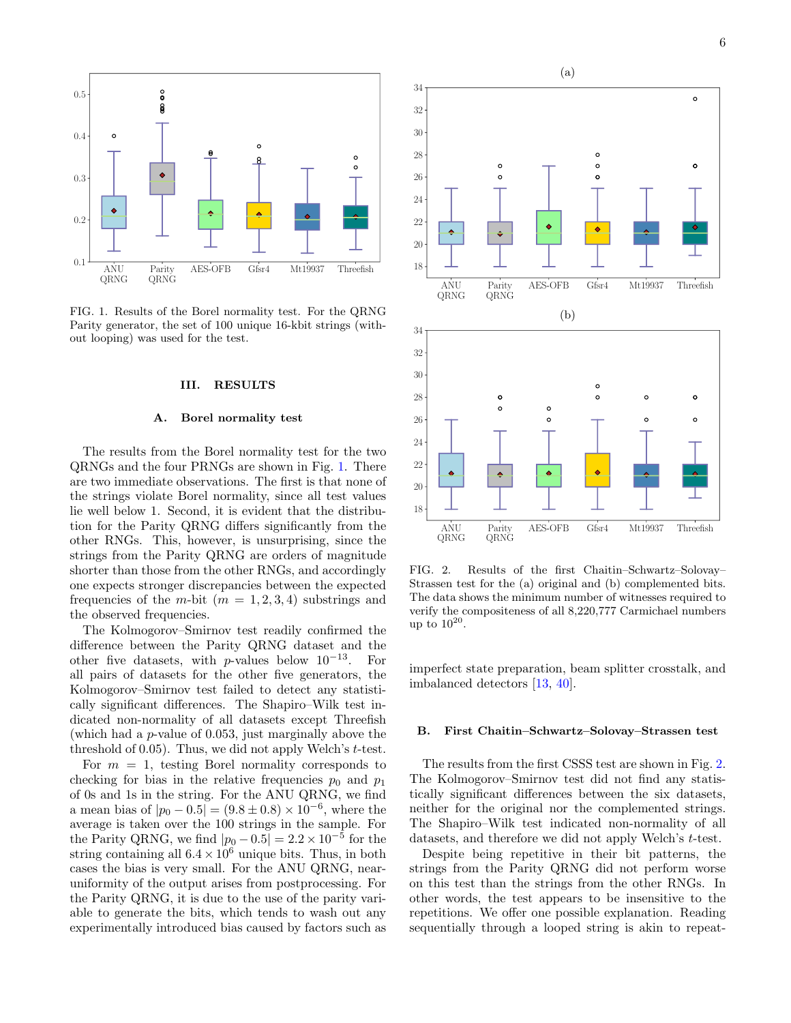

<span id="page-5-1"></span>FIG. 1. Results of the Borel normality test. For the QRNG Parity generator, the set of 100 unique 16-kbit strings (without looping) was used for the test.

# <span id="page-5-0"></span>III. RESULTS

### A. Borel normality test

The results from the Borel normality test for the two QRNGs and the four PRNGs are shown in Fig. [1.](#page-5-1) There are two immediate observations. The first is that none of the strings violate Borel normality, since all test values lie well below 1. Second, it is evident that the distribution for the Parity QRNG differs significantly from the other RNGs. This, however, is unsurprising, since the strings from the Parity QRNG are orders of magnitude shorter than those from the other RNGs, and accordingly one expects stronger discrepancies between the expected frequencies of the m-bit  $(m = 1, 2, 3, 4)$  substrings and the observed frequencies.

The Kolmogorov–Smirnov test readily confirmed the difference between the Parity QRNG dataset and the other five datasets, with p-values below  $10^{-13}$ . For all pairs of datasets for the other five generators, the Kolmogorov–Smirnov test failed to detect any statistically significant differences. The Shapiro–Wilk test indicated non-normality of all datasets except Threefish (which had a p-value of 0.053, just marginally above the threshold of  $(0.05)$ . Thus, we did not apply Welch's t-test.

For  $m = 1$ , testing Borel normality corresponds to checking for bias in the relative frequencies  $p_0$  and  $p_1$ of 0s and 1s in the string. For the ANU QRNG, we find a mean bias of  $|p_0 - 0.5| = (9.8 \pm 0.8) \times 10^{-6}$ , where the average is taken over the 100 strings in the sample. For the Parity QRNG, we find  $|p_0 - 0.5| = 2.2 \times 10^{-5}$  for the string containing all  $6.4 \times 10^6$  unique bits. Thus, in both cases the bias is very small. For the ANU QRNG, nearuniformity of the output arises from postprocessing. For the Parity QRNG, it is due to the use of the parity variable to generate the bits, which tends to wash out any experimentally introduced bias caused by factors such as



<span id="page-5-2"></span>FIG. 2. Results of the first Chaitin–Schwartz–Solovay– Strassen test for the (a) original and (b) complemented bits. The data shows the minimum number of witnesses required to verify the compositeness of all 8,220,777 Carmichael numbers up to  $10^{20}$ .

imperfect state preparation, beam splitter crosstalk, and imbalanced detectors [\[13,](#page-9-12) [40\]](#page-10-9).

# B. First Chaitin–Schwartz–Solovay–Strassen test

The results from the first CSSS test are shown in Fig. [2.](#page-5-2) The Kolmogorov–Smirnov test did not find any statistically significant differences between the six datasets, neither for the original nor the complemented strings. The Shapiro–Wilk test indicated non-normality of all datasets, and therefore we did not apply Welch's t-test.

Despite being repetitive in their bit patterns, the strings from the Parity QRNG did not perform worse on this test than the strings from the other RNGs. In other words, the test appears to be insensitive to the repetitions. We offer one possible explanation. Reading sequentially through a looped string is akin to repeat-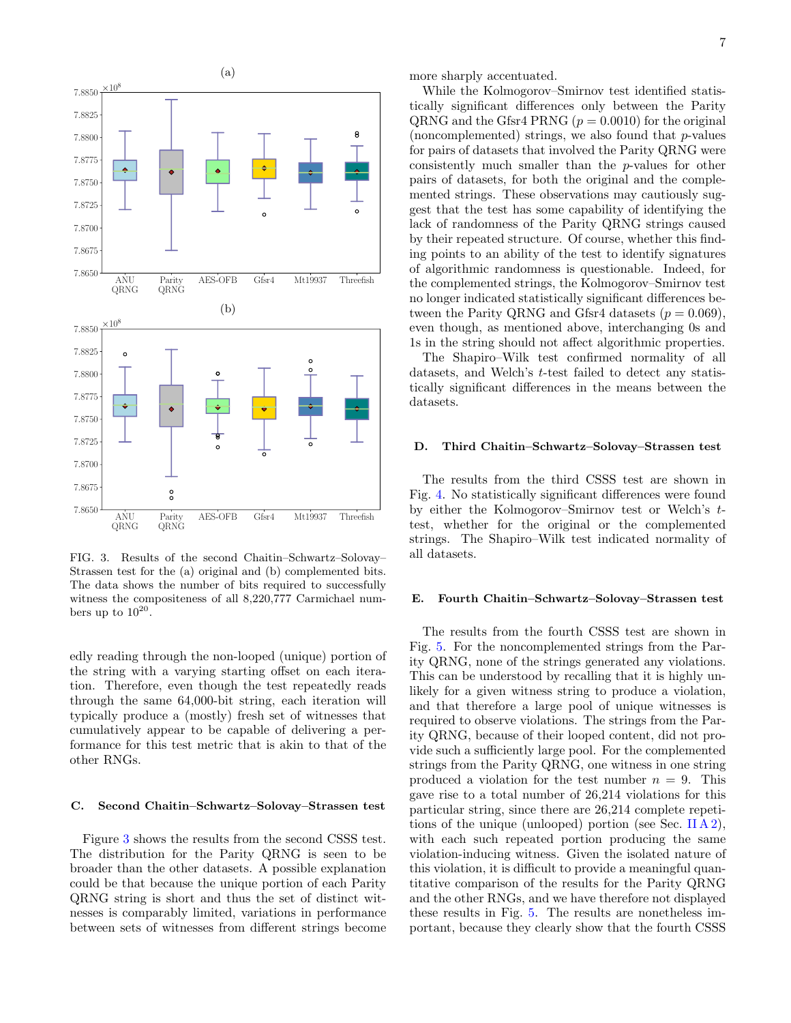

<span id="page-6-0"></span>FIG. 3. Results of the second Chaitin–Schwartz–Solovay– Strassen test for the (a) original and (b) complemented bits. The data shows the number of bits required to successfully witness the compositeness of all 8,220,777 Carmichael numbers up to  $10^{20}$ .

edly reading through the non-looped (unique) portion of the string with a varying starting offset on each iteration. Therefore, even though the test repeatedly reads through the same 64,000-bit string, each iteration will typically produce a (mostly) fresh set of witnesses that cumulatively appear to be capable of delivering a performance for this test metric that is akin to that of the other RNGs.

### C. Second Chaitin–Schwartz–Solovay–Strassen test

Figure [3](#page-6-0) shows the results from the second CSSS test. The distribution for the Parity QRNG is seen to be broader than the other datasets. A possible explanation could be that because the unique portion of each Parity QRNG string is short and thus the set of distinct witnesses is comparably limited, variations in performance between sets of witnesses from different strings become more sharply accentuated.

While the Kolmogorov–Smirnov test identified statistically significant differences only between the Parity QRNG and the Gfsr4 PRNG  $(p = 0.0010)$  for the original (noncomplemented) strings, we also found that  $p$ -values for pairs of datasets that involved the Parity QRNG were consistently much smaller than the p-values for other pairs of datasets, for both the original and the complemented strings. These observations may cautiously suggest that the test has some capability of identifying the lack of randomness of the Parity QRNG strings caused by their repeated structure. Of course, whether this finding points to an ability of the test to identify signatures of algorithmic randomness is questionable. Indeed, for the complemented strings, the Kolmogorov–Smirnov test no longer indicated statistically significant differences between the Parity QRNG and Gfsr4 datasets  $(p = 0.069)$ , even though, as mentioned above, interchanging 0s and 1s in the string should not affect algorithmic properties.

The Shapiro–Wilk test confirmed normality of all datasets, and Welch's t-test failed to detect any statistically significant differences in the means between the datasets.

# D. Third Chaitin–Schwartz–Solovay–Strassen test

The results from the third CSSS test are shown in Fig. [4.](#page-7-0) No statistically significant differences were found by either the Kolmogorov–Smirnov test or Welch's ttest, whether for the original or the complemented strings. The Shapiro–Wilk test indicated normality of all datasets.

### E. Fourth Chaitin–Schwartz–Solovay–Strassen test

The results from the fourth CSSS test are shown in Fig. [5.](#page-7-1) For the noncomplemented strings from the Parity QRNG, none of the strings generated any violations. This can be understood by recalling that it is highly unlikely for a given witness string to produce a violation, and that therefore a large pool of unique witnesses is required to observe violations. The strings from the Parity QRNG, because of their looped content, did not provide such a sufficiently large pool. For the complemented strings from the Parity QRNG, one witness in one string produced a violation for the test number  $n = 9$ . This gave rise to a total number of 26,214 violations for this particular string, since there are 26,214 complete repetitions of the unique (unlooped) portion (see Sec. [II A 2\)](#page-2-2), with each such repeated portion producing the same violation-inducing witness. Given the isolated nature of this violation, it is difficult to provide a meaningful quantitative comparison of the results for the Parity QRNG and the other RNGs, and we have therefore not displayed these results in Fig. [5.](#page-7-1) The results are nonetheless important, because they clearly show that the fourth CSSS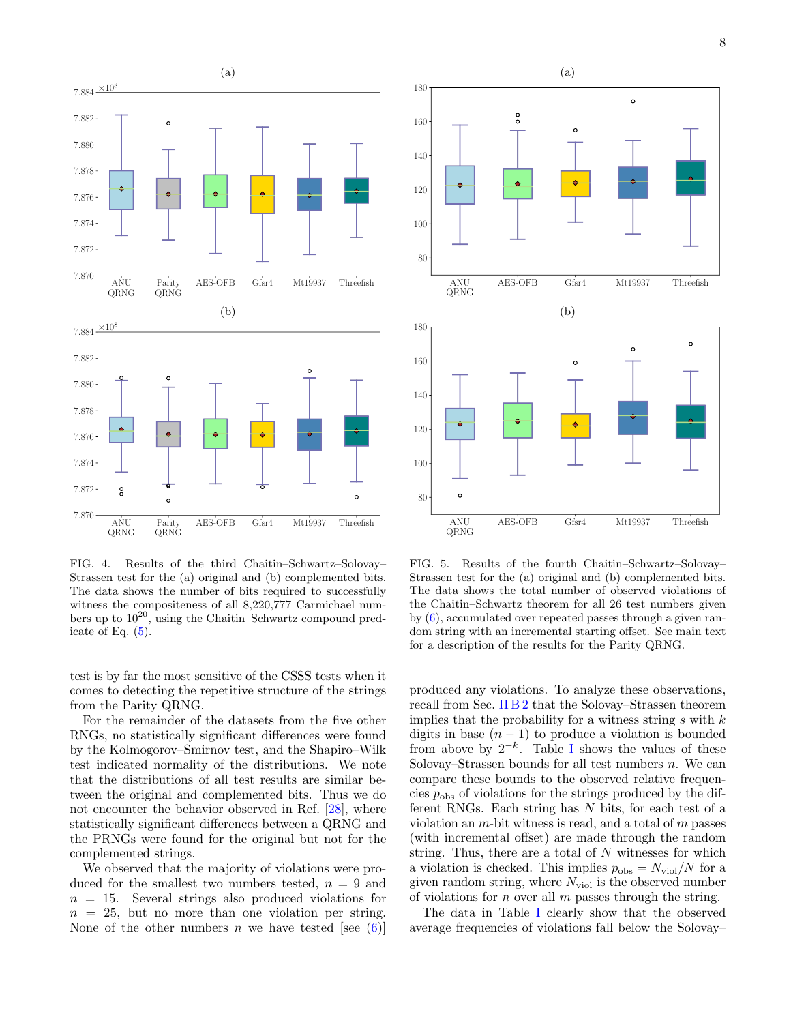

<span id="page-7-0"></span>FIG. 4. Results of the third Chaitin–Schwartz–Solovay– Strassen test for the (a) original and (b) complemented bits. The data shows the number of bits required to successfully witness the compositeness of all 8,220,777 Carmichael numbers up to  $10^{20}$ , using the Chaitin–Schwartz compound predicate of Eq.  $(5)$ .

test is by far the most sensitive of the CSSS tests when it comes to detecting the repetitive structure of the strings from the Parity QRNG.

For the remainder of the datasets from the five other RNGs, no statistically significant differences were found by the Kolmogorov–Smirnov test, and the Shapiro–Wilk test indicated normality of the distributions. We note that the distributions of all test results are similar between the original and complemented bits. Thus we do not encounter the behavior observed in Ref. [\[28\]](#page-9-27), where statistically significant differences between a QRNG and the PRNGs were found for the original but not for the complemented strings.

We observed that the majority of violations were produced for the smallest two numbers tested,  $n = 9$  and  $n = 15$ . Several strings also produced violations for  $n = 25$ , but no more than one violation per string. None of the other numbers n we have tested [see  $(6)$ ]



<span id="page-7-1"></span>FIG. 5. Results of the fourth Chaitin–Schwartz–Solovay– Strassen test for the (a) original and (b) complemented bits. The data shows the total number of observed violations of the Chaitin–Schwartz theorem for all 26 test numbers given by [\(6\)](#page-4-0), accumulated over repeated passes through a given random string with an incremental starting offset. See main text for a description of the results for the Parity QRNG.

produced any violations. To analyze these observations, recall from Sec. [II B 2](#page-3-0) that the Solovay–Strassen theorem implies that the probability for a witness string  $s$  with  $k$ digits in base  $(n - 1)$  to produce a violation is bounded from above by  $2^{-k}$ . Table [I](#page-8-1) shows the values of these Solovay–Strassen bounds for all test numbers  $n$ . We can compare these bounds to the observed relative frequencies  $p_{\text{obs}}$  of violations for the strings produced by the different RNGs. Each string has  $N$  bits, for each test of a violation an  $m$ -bit witness is read, and a total of  $m$  passes (with incremental offset) are made through the random string. Thus, there are a total of  $N$  witnesses for which a violation is checked. This implies  $p_{obs} = N_{\text{viol}}/N$  for a given random string, where  $N_{\text{viol}}$  is the observed number of violations for *n* over all *m* passes through the string.

The data in Table [I](#page-8-1) clearly show that the observed average frequencies of violations fall below the Solovay–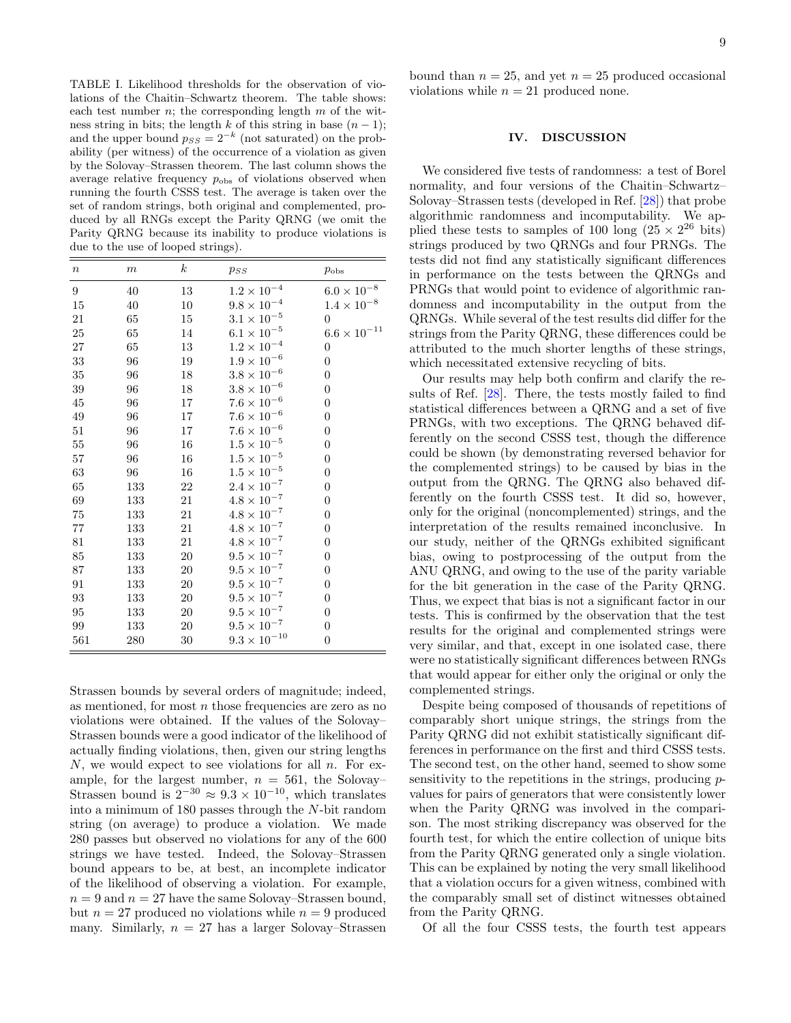<span id="page-8-1"></span>TABLE I. Likelihood thresholds for the observation of violations of the Chaitin–Schwartz theorem. The table shows: each test number  $n$ ; the corresponding length  $m$  of the witness string in bits; the length k of this string in base  $(n-1)$ ; and the upper bound  $p_{SS} = 2^{-k}$  (not saturated) on the probability (per witness) of the occurrence of a violation as given by the Solovay–Strassen theorem. The last column shows the average relative frequency  $p_{\text{obs}}$  of violations observed when running the fourth CSSS test. The average is taken over the set of random strings, both original and complemented, produced by all RNGs except the Parity QRNG (we omit the Parity QRNG because its inability to produce violations is due to the use of looped strings).

| $\boldsymbol{n}$ | $\boldsymbol{m}$ | $\boldsymbol{k}$ | $p_{SS}$              | $p_{\rm obs}$         |
|------------------|------------------|------------------|-----------------------|-----------------------|
| 9                | 40               | 13               | $1.2 \times 10^{-4}$  | $6.0\times10^{-8}$    |
| 15               | 40               | 10               | $9.8 \times 10^{-4}$  | $1.4 \times 10^{-8}$  |
| 21               | 65               | 15               | $3.1\times10^{-5}$    | $\boldsymbol{0}$      |
| 25               | 65               | 14               | $6.1\times10^{-5}$    | $6.6 \times 10^{-11}$ |
| 27               | 65               | $13\,$           | $1.2 \times 10^{-4}$  | $\boldsymbol{0}$      |
| 33               | 96               | 19               | $1.9 \times 10^{-6}$  | $\boldsymbol{0}$      |
| 35               | 96               | 18               | $3.8 \times 10^{-6}$  | $\overline{0}$        |
| 39               | 96               | 18               | $3.8 \times 10^{-6}$  | $\boldsymbol{0}$      |
| $45\,$           | 96               | 17               | $7.6\times10^{-6}$    | $\boldsymbol{0}$      |
| 49               | 96               | 17               | $7.6\times10^{-6}$    | $\boldsymbol{0}$      |
| 51               | 96               | 17               | $7.6\times10^{-6}$    | $\boldsymbol{0}$      |
| $55\,$           | 96               | 16               | $1.5 \times 10^{-5}$  | $\boldsymbol{0}$      |
| 57               | $96\,$           | 16               | $1.5\times10^{-5}$    | $\overline{0}$        |
| 63               | 96               | 16               | $1.5 \times 10^{-5}$  | $\overline{0}$        |
| 65               | 133              | 22               | $2.4\times10^{-7}$    | $\boldsymbol{0}$      |
| 69               | 133              | 21               | $4.8\times10^{-7}$    | $\boldsymbol{0}$      |
| $75\,$           | 133              | 21               | $4.8 \times 10^{-7}$  | $\boldsymbol{0}$      |
| 77               | 133              | 21               | $4.8\times10^{-7}$    | $\overline{0}$        |
| 81               | 133              | 21               | $4.8\times10^{-7}$    | $\boldsymbol{0}$      |
| 85               | 133              | 20               | $9.5\times10^{-7}$    | $\boldsymbol{0}$      |
| 87               | 133              | $20\,$           | $9.5\times10^{-7}$    | $\overline{0}$        |
| 91               | 133              | 20               | $9.5\times10^{-7}$    | $\boldsymbol{0}$      |
| 93               | 133              | 20               | $9.5\times10^{-7}$    | $\boldsymbol{0}$      |
| 95               | 133              | $20\,$           | $9.5\times10^{-7}$    | $\boldsymbol{0}$      |
| 99               | 133              | 20               | $9.5\times10^{-7}$    | $\overline{0}$        |
| 561              | 280              | 30               | $9.3 \times 10^{-10}$ | $\boldsymbol{0}$      |

Strassen bounds by several orders of magnitude; indeed, as mentioned, for most  $n$  those frequencies are zero as no violations were obtained. If the values of the Solovay– Strassen bounds were a good indicator of the likelihood of actually finding violations, then, given our string lengths  $N$ , we would expect to see violations for all  $n$ . For example, for the largest number,  $n = 561$ , the Solovay– Strassen bound is  $2^{-30} \approx 9.3 \times 10^{-10}$ , which translates into a minimum of 180 passes through the N-bit random string (on average) to produce a violation. We made 280 passes but observed no violations for any of the 600 strings we have tested. Indeed, the Solovay–Strassen bound appears to be, at best, an incomplete indicator of the likelihood of observing a violation. For example,  $n = 9$  and  $n = 27$  have the same Solovay–Strassen bound, but  $n = 27$  produced no violations while  $n = 9$  produced many. Similarly,  $n = 27$  has a larger Solovay–Strassen

bound than  $n = 25$ , and yet  $n = 25$  produced occasional violations while  $n = 21$  produced none.

### <span id="page-8-0"></span>IV. DISCUSSION

We considered five tests of randomness: a test of Borel normality, and four versions of the Chaitin–Schwartz– Solovay–Strassen tests (developed in Ref. [\[28\]](#page-9-27)) that probe algorithmic randomness and incomputability. We applied these tests to samples of 100 long  $(25 \times 2^{26})$  bits) strings produced by two QRNGs and four PRNGs. The tests did not find any statistically significant differences in performance on the tests between the QRNGs and PRNGs that would point to evidence of algorithmic randomness and incomputability in the output from the QRNGs. While several of the test results did differ for the strings from the Parity QRNG, these differences could be attributed to the much shorter lengths of these strings, which necessitated extensive recycling of bits.

Our results may help both confirm and clarify the results of Ref. [\[28\]](#page-9-27). There, the tests mostly failed to find statistical differences between a QRNG and a set of five PRNGs, with two exceptions. The QRNG behaved differently on the second CSSS test, though the difference could be shown (by demonstrating reversed behavior for the complemented strings) to be caused by bias in the output from the QRNG. The QRNG also behaved differently on the fourth CSSS test. It did so, however, only for the original (noncomplemented) strings, and the interpretation of the results remained inconclusive. In our study, neither of the QRNGs exhibited significant bias, owing to postprocessing of the output from the ANU QRNG, and owing to the use of the parity variable for the bit generation in the case of the Parity QRNG. Thus, we expect that bias is not a significant factor in our tests. This is confirmed by the observation that the test results for the original and complemented strings were very similar, and that, except in one isolated case, there were no statistically significant differences between RNGs that would appear for either only the original or only the complemented strings.

Despite being composed of thousands of repetitions of comparably short unique strings, the strings from the Parity QRNG did not exhibit statistically significant differences in performance on the first and third CSSS tests. The second test, on the other hand, seemed to show some sensitivity to the repetitions in the strings, producing pvalues for pairs of generators that were consistently lower when the Parity QRNG was involved in the comparison. The most striking discrepancy was observed for the fourth test, for which the entire collection of unique bits from the Parity QRNG generated only a single violation. This can be explained by noting the very small likelihood that a violation occurs for a given witness, combined with the comparably small set of distinct witnesses obtained from the Parity QRNG.

Of all the four CSSS tests, the fourth test appears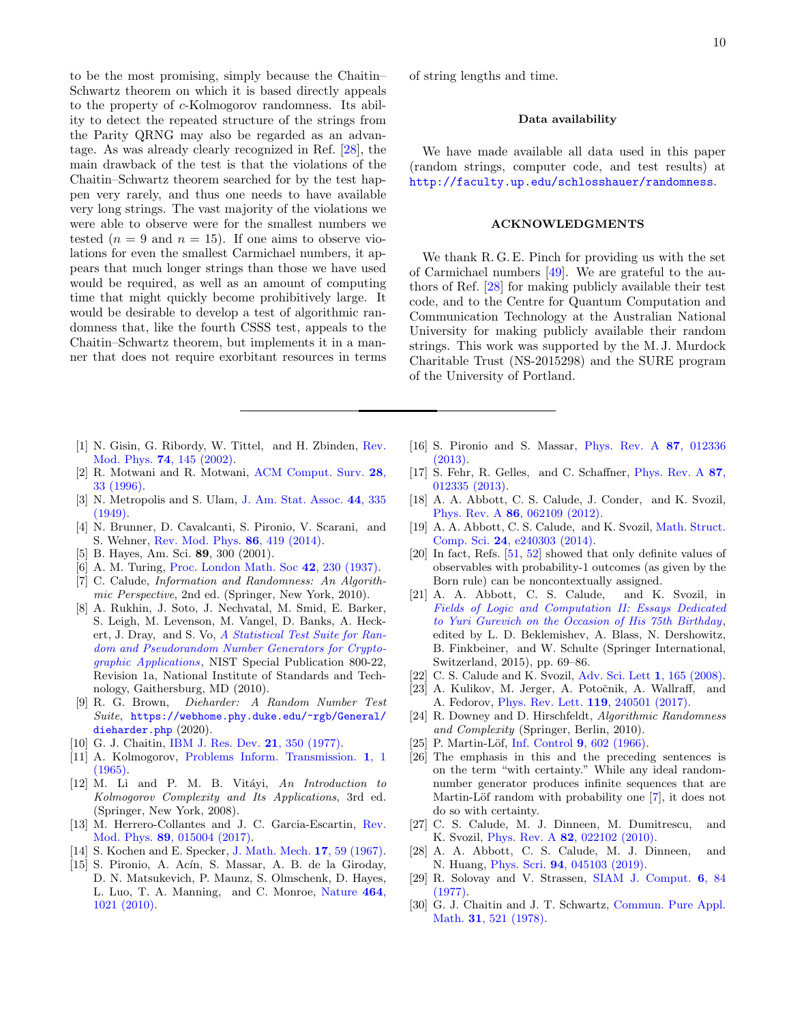to be the most promising, simply because the Chaitin– Schwartz theorem on which it is based directly appeals to the property of c-Kolmogorov randomness. Its ability to detect the repeated structure of the strings from the Parity QRNG may also be regarded as an advantage. As was already clearly recognized in Ref. [\[28\]](#page-9-27), the main drawback of the test is that the violations of the Chaitin–Schwartz theorem searched for by the test happen very rarely, and thus one needs to have available very long strings. The vast majority of the violations we were able to observe were for the smallest numbers we tested  $(n = 9$  and  $n = 15)$ . If one aims to observe violations for even the smallest Carmichael numbers, it appears that much longer strings than those we have used would be required, as well as an amount of computing time that might quickly become prohibitively large. It would be desirable to develop a test of algorithmic randomness that, like the fourth CSSS test, appeals to the Chaitin–Schwartz theorem, but implements it in a manner that does not require exorbitant resources in terms

- <span id="page-9-0"></span>[1] N. Gisin, G. Ribordy, W. Tittel, and H. Zbinden, [Rev.](http://dx.doi.org/ 10.1103/RevModPhys.74.145) Mod. Phys. 74[, 145 \(2002\).](http://dx.doi.org/ 10.1103/RevModPhys.74.145)
- <span id="page-9-1"></span>[2] R. Motwani and R. Motwani, [ACM Comput. Surv.](http://dx.doi.org/10.1145/234313.234327) 28, [33 \(1996\).](http://dx.doi.org/10.1145/234313.234327)
- <span id="page-9-2"></span>[3] N. Metropolis and S. Ulam, [J. Am. Stat. Assoc.](http://dx.doi.org/10.1080/01621459.1949.10483310) 44, 335 [\(1949\).](http://dx.doi.org/10.1080/01621459.1949.10483310)
- <span id="page-9-3"></span>[4] N. Brunner, D. Cavalcanti, S. Pironio, V. Scarani, and S. Wehner, [Rev. Mod. Phys.](http://dx.doi.org/ 10.1103/RevModPhys.86.419) 86, 419 (2014).
- <span id="page-9-4"></span>[5] B. Hayes, Am. Sci. 89, 300 (2001).
- <span id="page-9-5"></span>[6] A. M. Turing, [Proc. London Math. Soc](http://dx.doi.org/10.1112/plms/s2-42.1.230) 42, 230 (1937).
- <span id="page-9-6"></span>[7] C. Calude, Information and Randomness: An Algorithmic Perspective, 2nd ed. (Springer, New York, 2010).
- <span id="page-9-7"></span>[8] A. Rukhin, J. Soto, J. Nechvatal, M. Smid, E. Barker, S. Leigh, M. Levenson, M. Vangel, D. Banks, A. Heckert, J. Dray, and S. Vo, [A Statistical Test Suite for Ran](http://dx.doi.org/10.6028/NIST.SP.800-22r1a)[dom and Pseudorandom Number Generators for Crypto](http://dx.doi.org/10.6028/NIST.SP.800-22r1a)[graphic Applications](http://dx.doi.org/10.6028/NIST.SP.800-22r1a), NIST Special Publication 800-22, Revision 1a, National Institute of Standards and Technology, Gaithersburg, MD (2010).
- <span id="page-9-8"></span>[9] R. G. Brown, Dieharder: A Random Number Test Suite, [https://webhome.phy.duke.edu/~rgb/General/](https://webhome.phy.duke.edu/~rgb/General/dieharder.php) [dieharder.php](https://webhome.phy.duke.edu/~rgb/General/dieharder.php) (2020).
- <span id="page-9-9"></span>[10] G. J. Chaitin, [IBM J. Res. Dev.](http://dx.doi.org/10.1147/rd.214.0350) **21**, 350 (1977).
- <span id="page-9-10"></span>[11] A. Kolmogorov, [Problems Inform. Transmission.](http://dx.doi.org/10.1080/00207166808803030) 1, 1 [\(1965\).](http://dx.doi.org/10.1080/00207166808803030)
- <span id="page-9-11"></span> $[12]$  M. Li and P. M. B. Vitáyi, An Introduction to Kolmogorov Complexity and Its Applications, 3rd ed. (Springer, New York, 2008).
- <span id="page-9-12"></span>[13] M. Herrero-Collantes and J. C. Garcia-Escartin, [Rev.](http://dx.doi.org/ 10.1103/RevModPhys.89.015004) Mod. Phys. 89[, 015004 \(2017\).](http://dx.doi.org/ 10.1103/RevModPhys.89.015004)
- <span id="page-9-13"></span>[14] S. Kochen and E. Specker, [J. Math. Mech.](http://dx.doi.org/10.1007/978-94-010-1795-4_17) 17, 59 (1967).
- <span id="page-9-14"></span>[15] S. Pironio, A. Acín, S. Massar, A. B. de la Giroday, D. N. Matsukevich, P. Maunz, S. Olmschenk, D. Hayes, L. Luo, T. A. Manning, and C. Monroe, [Nature](http://dx.doi.org/10.1038/nature09008) 464, [1021 \(2010\).](http://dx.doi.org/10.1038/nature09008)

# Data availability

We have made available all data used in this paper (random strings, computer code, and test results) at <http://faculty.up.edu/schlosshauer/randomness>.

### ACKNOWLEDGMENTS

We thank R. G. E. Pinch for providing us with the set of Carmichael numbers [\[49\]](#page-10-18). We are grateful to the authors of Ref. [\[28\]](#page-9-27) for making publicly available their test code, and to the Centre for Quantum Computation and Communication Technology at the Australian National University for making publicly available their random strings. This work was supported by the M. J. Murdock Charitable Trust (NS-2015298) and the SURE program of the University of Portland.

- <span id="page-9-16"></span>[16] S. Pironio and S. Massar, [Phys. Rev. A](http://dx.doi.org/10.1103/PhysRevA.87.012336) 87, 012336 [\(2013\).](http://dx.doi.org/10.1103/PhysRevA.87.012336)
- <span id="page-9-17"></span>[17] S. Fehr, R. Gelles, and C. Schaffner, [Phys. Rev. A](http://dx.doi.org/10.1103/PhysRevA.87.012335) 87, [012335 \(2013\).](http://dx.doi.org/10.1103/PhysRevA.87.012335)
- <span id="page-9-20"></span>[18] A. A. Abbott, C. S. Calude, J. Conder, and K. Svozil, Phys. Rev. A 86[, 062109 \(2012\).](http://dx.doi.org/ 10.1103/PhysRevA.86.062109)
- <span id="page-9-15"></span>[19] A. A. Abbott, C. S. Calude, and K. Svozil, [Math. Struct.](http://dx.doi.org/10.1017/S0960129512000692) Comp. Sci. 24[, e240303 \(2014\).](http://dx.doi.org/10.1017/S0960129512000692)
- <span id="page-9-18"></span>[20] In fact, Refs. [\[51,](#page-10-20) [52\]](#page-10-21) showed that only definite values of observables with probability-1 outcomes (as given by the Born rule) can be noncontextually assigned.
- <span id="page-9-19"></span>[21] A. A. Abbott, C. S. Calude, and K. Svozil, in [Fields of Logic and Computation II: Essays Dedicated](http://dx.doi.org/10.1007/978-3-319-23534-9_4) [to Yuri Gurevich on the Occasion of His 75th Birthday](http://dx.doi.org/10.1007/978-3-319-23534-9_4), edited by L. D. Beklemishev, A. Blass, N. Dershowitz, B. Finkbeiner, and W. Schulte (Springer International, Switzerland, 2015), pp. 69–86.
- <span id="page-9-21"></span>[22] C. S. Calude and K. Svozil, [Adv. Sci. Lett](http://dx.doi.org/10.1166/asl.2008.016) 1, 165 (2008).
- <span id="page-9-22"></span>[23] A. Kulikov, M. Jerger, A. Potočnik, A. Wallraff, and A. Fedorov, [Phys. Rev. Lett.](http://dx.doi.org/ 10.1103/PhysRevLett.119.240501) 119, 240501 (2017).
- <span id="page-9-23"></span>[24] R. Downey and D. Hirschfeldt, Algorithmic Randomness and Complexity (Springer, Berlin, 2010).
- <span id="page-9-24"></span>[25] P. Martin-Löf, Inf. Control 9[, 602 \(1966\).](http://dx.doi.org/ https://doi.org/10.1016/S0019-9958(66)80018-9)
- <span id="page-9-25"></span>[26] The emphasis in this and the preceding sentences is on the term "with certainty." While any ideal randomnumber generator produces infinite sequences that are Martin-Löf random with probability one [\[7\]](#page-9-6), it does not do so with certainty.
- <span id="page-9-26"></span>[27] C. S. Calude, M. J. Dinneen, M. Dumitrescu, and K. Svozil, *Phys. Rev. A* **82**[, 022102 \(2010\).](http://dx.doi.org/10.1103/PhysRevA.82.022102)
- <span id="page-9-27"></span>[28] A. A. Abbott, C. S. Calude, M. J. Dinneen, and N. Huang, Phys. Scri. 94[, 045103 \(2019\).](http://dx.doi.org/10.1088/1402-4896/aaf36a)
- <span id="page-9-28"></span>[29] R. Solovay and V. Strassen, [SIAM J. Comput.](http://dx.doi.org/10.1137/0206006) 6, 84 [\(1977\).](http://dx.doi.org/10.1137/0206006)
- <span id="page-9-29"></span>[30] G. J. Chaitin and J. T. Schwartz, [Commun. Pure Appl.](http://dx.doi.org/10.1002/cpa.3160310407) Math. 31[, 521 \(1978\).](http://dx.doi.org/10.1002/cpa.3160310407)